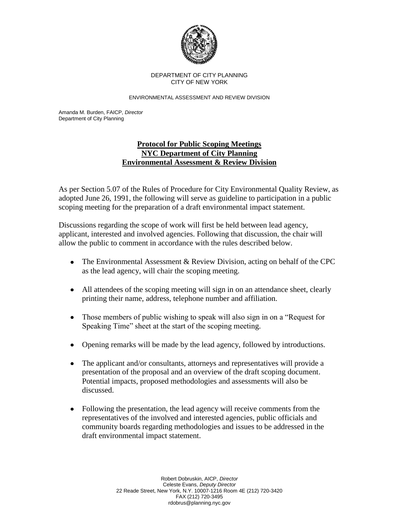

## DEPARTMENT OF CITY PLANNING CITY OF NEW YORK

ENVIRONMENTAL ASSESSMENT AND REVIEW DIVISION

Amanda M. Burden, FAICP, *Director* Department of City Planning

## **Protocol for Public Scoping Meetings NYC Department of City Planning Environmental Assessment & Review Division**

As per Section 5.07 of the Rules of Procedure for City Environmental Quality Review, as adopted June 26, 1991, the following will serve as guideline to participation in a public scoping meeting for the preparation of a draft environmental impact statement.

Discussions regarding the scope of work will first be held between lead agency, applicant, interested and involved agencies. Following that discussion, the chair will allow the public to comment in accordance with the rules described below.

- The Environmental Assessment & Review Division, acting on behalf of the CPC as the lead agency, will chair the scoping meeting.
- All attendees of the scoping meeting will sign in on an attendance sheet, clearly printing their name, address, telephone number and affiliation.
- Those members of public wishing to speak will also sign in on a "Request for Speaking Time" sheet at the start of the scoping meeting.
- Opening remarks will be made by the lead agency, followed by introductions.
- The applicant and/or consultants, attorneys and representatives will provide a presentation of the proposal and an overview of the draft scoping document. Potential impacts, proposed methodologies and assessments will also be discussed.
- Following the presentation, the lead agency will receive comments from the representatives of the involved and interested agencies, public officials and community boards regarding methodologies and issues to be addressed in the draft environmental impact statement.

Robert Dobruskin, AICP, *Director* Celeste Evans, *Deputy Director* 22 Reade Street, New York, N.Y. 10007-1216 Room 4E (212) 720-3420 FAX (212) 720-3495 rdobrus@planning.nyc.gov